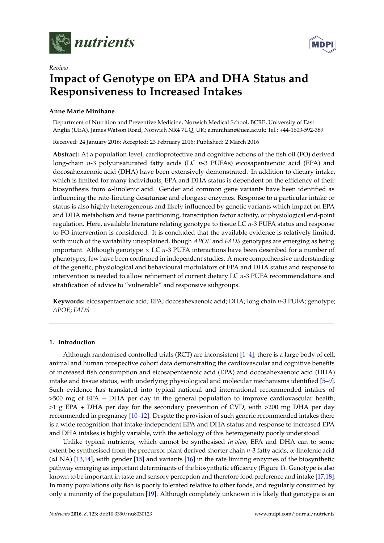



# **Impact of Genotype on EPA and DHA Status and Responsiveness to Increased Intakes**

# **Anne Marie Minihane**

*Review*

Department of Nutrition and Preventive Medicine, Norwich Medical School, BCRE, University of East Anglia (UEA), James Watson Road, Norwich NR4 7UQ, UK; a.minihane@uea.ac.uk; Tel.: +44-1603-592-389

Received: 24 January 2016; Accepted: 23 February 2016; Published: 2 March 2016

**Abstract:** At a population level, cardioprotective and cognitive actions of the fish oil (FO) derived long-chain *n*-3 polyunsaturated fatty acids (LC *n*-3 PUFAs) eicosapentaenoic acid (EPA) and docosahexaenoic acid (DHA) have been extensively demonstrated. In addition to dietary intake, which is limited for many individuals, EPA and DHA status is dependent on the efficiency of their biosynthesis from  $\alpha$ -linolenic acid. Gender and common gene variants have been identified as influencing the rate-limiting desaturase and elongase enzymes. Response to a particular intake or status is also highly heterogeneous and likely influenced by genetic variants which impact on EPA and DHA metabolism and tissue partitioning, transcription factor activity, or physiological end-point regulation. Here, available literature relating genotype to tissue LC *n*-3 PUFA status and response to FO intervention is considered. It is concluded that the available evidence is relatively limited, with much of the variability unexplained, though *APOE* and *FADS* genotypes are emerging as being important. Although genotype  $\times$  LC  $n$ -3 PUFA interactions have been described for a number of phenotypes, few have been confirmed in independent studies. A more comprehensive understanding of the genetic, physiological and behavioural modulators of EPA and DHA status and response to intervention is needed to allow refinement of current dietary LC *n*-3 PUFA recommendations and stratification of advice to "vulnerable" and responsive subgroups.

**Keywords:** eicosapentaenoic acid; EPA; docosahexaenoic acid; DHA; long chain *n*-3 PUFA; genotype; *APOE*; *FADS*

## **1. Introduction**

Although randomised controlled trials (RCT) are inconsistent [\[1–](#page-6-0)[4\]](#page-6-1), there is a large body of cell, animal and human prospective cohort data demonstrating the cardiovascular and cognitive benefits of increased fish consumption and eicosapentaenoic acid (EPA) and docosahexaenoic acid (DHA) intake and tissue status, with underlying physiological and molecular mechanisms identified [\[5–](#page-6-2)[9\]](#page-6-3). Such evidence has translated into typical national and international recommended intakes of >500 mg of EPA + DHA per day in the general population to improve cardiovascular health, >1 g EPA + DHA per day for the secondary prevention of CVD, with >200 mg DHA per day recommended in pregnancy [\[10](#page-6-4)[–12\]](#page-6-5). Despite the provision of such generic recommended intakes there is a wide recognition that intake-independent EPA and DHA status and response to increased EPA and DHA intakes is highly variable, with the aetiology of this heterogeneity poorly understood.

Unlike typical nutrients, which cannot be synthesised *in vivo*, EPA and DHA can to some extent be synthesised from the precursor plant derived shorter chain *n*-3 fatty acids, α-linolenic acid  $(\alpha$ LNA) [\[13](#page-6-6)[,14\]](#page-6-7), with gender [\[15\]](#page-6-8) and variants [\[16\]](#page-6-9) in the rate limiting enzymes of the biosynthetic pathway emerging as important determinants of the biosynthetic efficiency (Figure [1\)](#page-1-0). Genotype is also known to be important in taste and sensory perception and therefore food preference and intake [\[17](#page-7-0)[,18\]](#page-7-1). In many populations oily fish is poorly tolerated relative to other foods, and regularly consumed by only a minority of the population [\[19\]](#page-7-2). Although completely unknown it is likely that genotype is an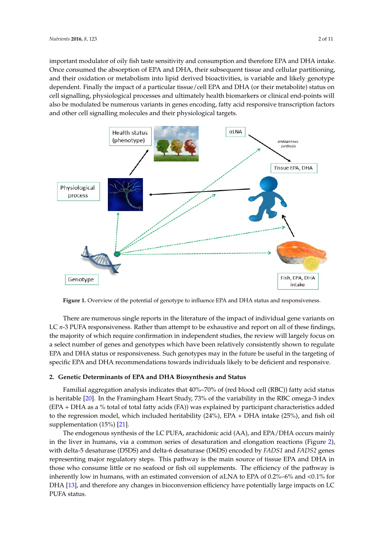important modulator of oily fish taste sensitivity and consumption and therefore EPA and DHA intake. important modulator of oily fish taste sensitivity and consumption and therefore EPA and DHA Once consumed the absorption of EPA and DHA, their subsequent tissue and cellular partitioning, and their oxidation or metabolism into lipid derived bioactivities, is variable and likely genotype dependent. Finally the impact of a particular tissue/cell EPA and DHA (or their metabolite) status on cell signalling, physiological processes and ultimately health biomarkers or clinical end-points will also be modulated be numerous variants in genes encoding, fatty acid responsive transcription factors and other cell signalling molecules and their physiological targets.

<span id="page-1-0"></span>

**Figure 1.** Overview of the potential of genotype to influence EPA and DHA status and responsiveness. **Figure 1.** Overview of the potential of genotype to influence EPA and DHA status and responsiveness.

There are numerous single reports in the literature of the impact of individual gene variants on There are numerous single reports in the literature of the impact of individual gene variants on LC *n-*3 PUFA responsiveness. Rather than attempt to be exhaustive and report on all of these findings, the majority of which require confirmation in independent studies, the review will largely focus on the majority of which require confirmation in independent studies, the review will largely focus on a select number of genes and genotypes which have been relatively consistently shown to regulate a select number of genes and genotypes which have been relatively consistently shown to regulate EPA and DHA status or responsiveness. Such genotypes may in the future be useful in the targeting EPA and DHA status or responsiveness. Such genotypes may in the future be useful in the targeting of of specific EPA and DHA recommendations towards individuals likely to be deficient and responsive. specific EPA and DHA recommendations towards individuals likely to be deficient and responsive.

# **2. Genetic Determinants of EPA and DHA Biosynthesis and Status 2. Genetic Determinants of EPA and DHA Biosynthesis and Status**

Familial aggregation analysis indicates that 40%–70% of (red blood cell (RBC)) fatty acid status Familial aggregation analysis indicates that 40%–70% of (red blood cell (RBC)) fatty acid status is heritable [20]. In the Framingham Heart Study, 73% of the variability in the RBC omega‐3 index is heritable [\[20\]](#page-7-3). In the Framingham Heart Study, 73% of the variability in the RBC omega-3 index (EPA + DHA as a % total of total fatty acids (FA)) was explained by participant characteristics added (EPA + DHA as a % total of total fatty acids (FA)) was explained by participant characteristics added to the regression model, which included heritability (24%), EPA + DHA intake (25%), and fish oil to the regression model, which included heritability (24%), EPA + DHA intake (25%), and fish oil supplementation (15%) [21]. supplementation (15%) [\[21\]](#page-7-4).

The endogenous synthesis of the LC PUFA, arachidonic acid (AA), and EPA/DHA occurs mainly The endogenous synthesis of the LC PUFA, arachidonic acid (AA), and EPA/DHA occurs mainly in the liver in humans, via a common series of desaturation and elongation reactions (Figure [2\)](#page-2-0), delta‐5 desaturase (D5DS) and delta‐6 desaturase (D6DS) encoded by *FADS1* and *FADS2* genes with delta-5 desaturase (D5DS) and delta-6 desaturase (D6DS) encoded by *FADS1* and *FADS2* genes representing major regulatory steps. This pathway is the main source of tissue EPA and DHA in those who consume little or no seafood or fish oil supplements. The efficiency of the pathway is inherently low in humans, with an estimated conversion of  $\alpha$ LNA to EPA of 0.2%–6% and <0.1% for DHA [\[13\]](#page-6-6), and therefore any changes in bioconversion efficiency have potentially large impacts on LC PUFA status.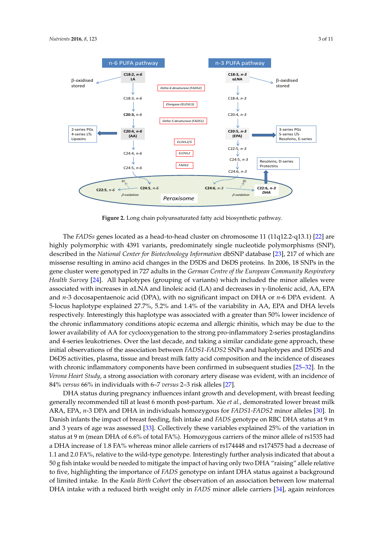<span id="page-2-0"></span>

**Figure 2.** Long chain polyunsaturated fatty acid biosynthetic pathway. **Figure 2.** Long chain polyunsaturated fatty acid biosynthetic pathway.

The *FADSs* genes located as a head-to-head cluster on chromosome 11 (11q12.2-q13.1) [\[22\]](#page-7-5) are highly polymorphic with 4391 variants, predominately single nucleotide polymorphisms (SNP), described in the *National Center for Biotechnology Information* dbSNP database [\[23\]](#page-7-6), 217 of which are missense resulting in amino acid changes in the D5DS and D6DS proteins. In 2006, 18 SNPs in the gene cluster were genotyped in 727 adults in the *German Centre of the European Community Respiratory Health Survey* [\[24\]](#page-7-7). All haplotypes (grouping of variants) which included the minor alleles were and *n*‐3 docosapentaenoic acid (DPA), with no significant impact on DHA or *n*‐6 DPA evident. A 5‐ associated with increases in αLNA and linoleic acid (LA) and decreases in γ-linolenic acid, AA, EPA  $\sim$ and *n*-3 docosapentaenoic acid (DPA), with no significant impact on DHA or *n*-6 DPA evident. A 5-locus haplotype explained 27.7%, 5.2% and 1.4% of the variability in AA, EPA and DHA levels respectively. Interestingly this haplotype was associated with a greater than 50% lower incidence of the chronic inflammatory conditions atopic eczema and allergic rhinitis, which may be due to the lower availability of AA for cyclooxygenation to the strong pro-inflammatory 2-series prostaglandins and 4-series leukotrienes. Over the last decade, and taking a similar candidate gene approach, these initial observations of the association between *FADS1-FADS2* SNPs and haplotypes and D5DS and D6DS activities, plasma, tissue and breast milk fatty acid composition and the incidence of diseases with chronic inflammatory components have been confirmed in subsequent studies [\[25](#page-7-8)[–32\]](#page-7-9). In the DHA status during pregnancy influences infant growth and development, with breast feeding *Verona Heart Study,* a strong association with coronary artery disease was evident, with an incidence of ARA, EPA, *n*‐3 DPA and DHA in individuals homozygous for *FADS1‐FADS2* minor alleles [30]. In 84% *versus* 66% in individuals with 6–7 *versus* 2–3 risk alleles [\[27\]](#page-7-10).

DHA status during pregnancy influences infant growth and development*,* with breast feeding generally recommended till at least 6 month post-partum. Xie *et al.*, demonstrated lower breast milk ARA, EPA, *n*-3 DPA and DHA in individuals homozygous for *FADS1-FADS2* minor alleles [\[30\]](#page-7-11). In Danish infants the impact of breast feeding, fish intake and *FADS* genotype on RBC DHA status at 9 m and 3 years of age was assessed [\[33\]](#page-7-12). Collectively these variables explained 25% of the variation in status at 9 m (mean DHA of 6.6% of total FA%). Homozygous carriers of the minor allele of rs1535 had allele relative to five, highlighting the importance of *FADS* genotype on infant DHA status against a background of limited intake. In the *Koala Birth Cohort* the observation of an association between low a DHA increase of 1.8 FA% whereas minor allele carriers of rs174448 and rs174575 had a decrease of 1.1 and 2.0 FA%, relative to the wild-type genotype. Interestingly further analysis indicated that about a<br>-50 g fish intake would be needed to mitigate the impact of having only two DHA "raising" allele relative to five, highlighting the importance of *FADS* genotype on infant DHA status against a background of limited intake. In the *Koala Birth Cohort* the observation of an association between low maternal DHA intake with a reduced birth weight only in *FADS* minor allele carriers [\[34\]](#page-8-0), again reinforces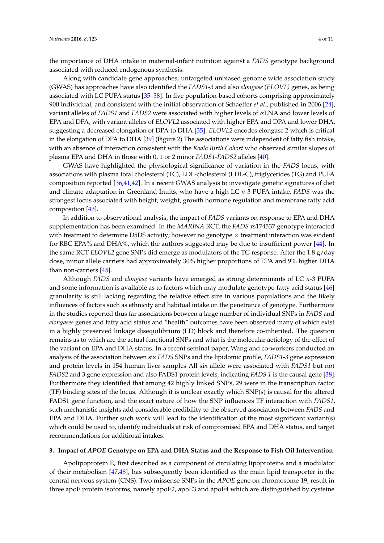the importance of DHA intake in maternal-infant nutrition against a *FADS* genotype background associated with reduced endogenous synthesis.

Along with candidate gene approaches, untargeted unbiased genome wide association study (GWAS) has approaches have also identified the *FADS1-3* and also *elongase* (*ELOVL)* genes, as being associated with LC PUFA status [\[35](#page-8-1)[–38\]](#page-8-2). In five population-based cohorts comprising approximately 900 individual, and consistent with the initial observation of Schaeffer *et al.*, published in 2006 [\[24\]](#page-7-7), variant alleles of *FADS1* and *FADS2* were associated with higher levels of αLNA and lower levels of EPA and DPA, with variant alleles of *ELOVL2* associated with higher EPA and DPA and lower DHA, suggesting a decreased elongation of DPA to DHA [\[35\]](#page-8-1). *ELOVL2* encodes elongase 2 which is critical in the elongation of DPA to DHA [\[39\]](#page-8-3) (Figure [2\)](#page-2-0) The associations were independent of fatty fish intake, with an absence of interaction consistent with the *Koala Birth Cohort* who observed similar slopes of plasma EPA and DHA in those with 0, 1 or 2 minor *FADS1-FADS2* alleles [\[40\]](#page-8-4).

GWAS have highlighted the physiological significance of variation in the *FADS* locus, with associations with plasma total cholesterol (TC), LDL-cholesterol (LDL-C), triglycerides (TG) and PUFA composition reported [\[36,](#page-8-5)[41,](#page-8-6)[42\]](#page-8-7). In a recent GWAS analysis to investigate genetic signatures of diet and climate adaptation in Greenland Inuits, who have a high LC *n*-3 PUFA intake, *FADS* was the strongest locus associated with height, weight, growth hormone regulation and membrane fatty acid composition [\[43\]](#page-8-8).

In addition to observational analysis, the impact of *FADS* variants on response to EPA and DHA supplementation has been examined. In the *MARINA* RCT, the *FADS* rs174537 genotype interacted with treatment to determine D5DS activity; however no genotype  $\times$  treatment interaction was evident for RBC EPA% and DHA%, which the authors suggested may be due to insufficient power [\[44\]](#page-8-9). In the same RCT *ELOVL2* gene SNPs did emerge as modulators of the TG response. After the 1.8 g/day dose, minor allele carriers had approximately 30% higher proportions of EPA and 9% higher DHA than non-carriers [\[45\]](#page-8-10).

Although *FADS* and *elongase* variants have emerged as strong determinants of LC *n*-3 PUFA and some information is available as to factors which may modulate genotype-fatty acid status [\[46\]](#page-8-11) granularity is still lacking regarding the relative effect size in various populations and the likely influences of factors such as ethnicity and habitual intake on the penetrance of genotype. Furthermore in the studies reported thus far associations between a large number of individual SNPs in *FADS* and *elongases* genes and fatty acid status and "health" outcomes have been observed many of which exist in a highly preserved linkage disequilibrium (LD) block and therefore co-inherited. The question remains as to which are the actual functional SNPs and what is the molecular aetiology of the effect of the variant on EPA and DHA status. In a recent seminal paper, Wang and co-workers conducted an analysis of the association between six *FADS* SNPs and the lipidomic profile, *FADS1-3* gene expression and protein levels in 154 human liver samples All six allele were associated with *FADS1* but not *FADS2* and 3 gene expression and also FADS1 protein levels, indicating *FADS 1* is the causal gene [\[38\]](#page-8-2). Furthermore they identified that among 42 highly linked SNPs, 29 were in the transcription factor (TF) binding sites of the locus. Although it is unclear exactly which SNP(s) is causal for the altered FADS1 gene function, and the exact nature of how the SNP influences TF interaction with *FADS1*, such mechanistic insights add considerable credibility to the observed association between *FADS* and EPA and DHA. Further such work will lead to the identification of the most significant variant(s) which could be used to, identify individuals at risk of compromised EPA and DHA status, and target recommendations for additional intakes.

#### **3. Impact of** *APOE* **Genotype on EPA and DHA Status and the Response to Fish Oil Intervention**

Apolipoprotein E, first described as a component of circulating lipoproteins and a modulator of their metabolism [\[47,](#page-8-12)[48\]](#page-8-13), has subsequently been identified as the main lipid transporter in the central nervous system (CNS). Two missense SNPs in the *APOE* gene on chromosome 19, result in three apoE protein isoforms, namely apoE2, apoE3 and apoE4 which are distinguished by cysteine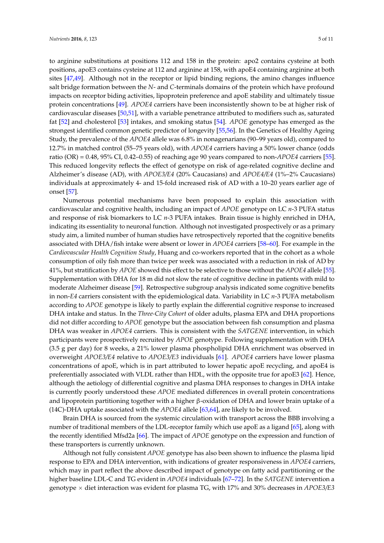to arginine substitutions at positions 112 and 158 in the protein: apo2 contains cysteine at both positions, apoE3 contains cysteine at 112 and arginine at 158, with apoE4 containing arginine at both sites [\[47,](#page-8-12)[49\]](#page-8-14). Although not in the receptor or lipid binding regions, the amino changes influence salt bridge formation between the *N*- and *C*-terminals domains of the protein which have profound impacts on receptor biding activities, lipoprotein preference and apoE stability and ultimately tissue protein concentrations [\[49\]](#page-8-14). *APOE4* carriers have been inconsistently shown to be at higher risk of cardiovascular diseases [\[50,](#page-8-15)[51\]](#page-8-16), with a variable penetrance attributed to modifiers such as, saturated fat [\[52\]](#page-9-0) and cholesterol [\[53\]](#page-9-1) intakes, and smoking status [\[54\]](#page-9-2). *APOE* genotype has emerged as the strongest identified common genetic predictor of longevity [\[55](#page-9-3)[,56\]](#page-9-4). In the Genetics of Healthy Ageing Study, the prevalence of the *APOE4* allele was 6.8% in nonagenarians (90–99 years old), compared to 12.7% in matched control (55–75 years old), with *APOE4* carriers having a 50% lower chance (odds ratio (OR) = 0.48, 95% CI, 0.42–0.55) of reaching age 90 years compared to non-*APOE4* carriers [\[55\]](#page-9-3).

This reduced longevity reflects the effect of genotype on risk of age-related cognitive decline and Alzheimer's disease (AD), with *APOE3/E4* (20% Caucasians) and *APOE4/E4* (1%–2% Caucasians) individuals at approximately 4- and 15-fold increased risk of AD with a 10–20 years earlier age of onset [\[57\]](#page-9-5). Numerous potential mechanisms have been proposed to explain this association with

cardiovascular and cognitive health, including an impact of *APOE* genotype on LC *n*-3 PUFA status and response of risk biomarkers to LC *n*-3 PUFA intakes. Brain tissue is highly enriched in DHA, indicating its essentiality to neuronal function. Although not investigated prospectively or as a primary study aim, a limited number of human studies have retrospectively reported that the cognitive benefits associated with DHA/fish intake were absent or lower in *APOE4* carriers [\[58](#page-9-6)[–60\]](#page-9-7). For example in the *Cardiovascular Health Cognition Study*, Huang and co-workers reported that in the cohort as a whole consumption of oily fish more than twice per week was associated with a reduction in risk of AD by 41%, but stratification by *APOE* showed this effect to be selective to those without the *APOE4* allele [\[55\]](#page-9-3). Supplementation with DHA for 18 m did not slow the rate of cognitive decline in patients with mild to moderate Alzheimer disease [\[59\]](#page-9-8). Retrospective subgroup analysis indicated some cognitive benefits in non-*E4* carriers consistent with the epidemiological data. Variability in LC *n*-3 PUFA metabolism according to *APOE* genotype is likely to partly explain the differential cognitive response to increased DHA intake and status. In the *Three-City Cohort* of older adults, plasma EPA and DHA proportions did not differ according to *APOE* genotype but the association between fish consumption and plasma DHA was weaker in *APOE4* carriers. This is consistent with the *SATGENE* intervention, in which participants were prospectively recruited by *APOE* genotype. Following supplementation with DHA (3.5 g per day) for 8 weeks, a 21% lower plasma phospholipid DHA enrichment was observed in overweight *APOE3/E4* relative to *APOE3/E3* individuals [\[61\]](#page-9-9). *APOE4* carriers have lower plasma concentrations of apoE, which is in part attributed to lower hepatic apoE recycling, and apoE4 is preferentially associated with VLDL rather than HDL, with the opposite true for apoE3 [\[62\]](#page-9-10). Hence, although the aetiology of differential cognitive and plasma DHA responses to changes in DHA intake is currently poorly understood these *APOE* mediated differences in overall protein concentrations and lipoprotein partitioning together with a higher  $\beta$ -oxidation of DHA and lower brain uptake of a (14C)-DHA uptake associated with the *APOE4* allele [\[63](#page-9-11)[,64\]](#page-9-12), are likely to be involved.

Brain DHA is sourced from the systemic circulation with transport across the BBB involving a number of traditional members of the LDL-receptor family which use apoE as a ligand [\[65\]](#page-9-13), along with the recently identified Mfsd2a [\[66\]](#page-9-14). The impact of *APOE* genotype on the expression and function of these transporters is currently unknown.

Although not fully consistent *APOE* genotype has also been shown to influence the plasma lipid response to EPA and DHA intervention, with indications of greater responsiveness in *APOE4* carriers, which may in part reflect the above described impact of genotype on fatty acid partitioning or the higher baseline LDL-C and TG evident in *APOE4* individuals [\[67–](#page-9-15)[72\]](#page-10-0). In the *SATGENE* intervention a genotype ˆ diet interaction was evident for plasma TG, with 17% and 30% decreases in *APOE3/E3*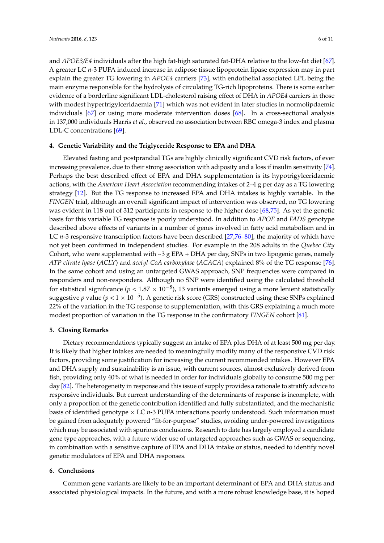and *APOE3/E4* individuals after the high fat-high saturated fat-DHA relative to the low-fat diet [\[67\]](#page-9-15). A greater LC *n*-3 PUFA induced increase in adipose tissue lipoprotein lipase expression may in part explain the greater TG lowering in *APOE4* carriers [\[73\]](#page-10-1), with endothelial associated LPL being the main enzyme responsible for the hydrolysis of circulating TG-rich lipoproteins. There is some earlier evidence of a borderline significant LDL-cholesterol raising effect of DHA in *APOE4* carriers in those with modest hypertrigylceridaemia [\[71\]](#page-10-2) which was not evident in later studies in normolipdaemic individuals [\[67\]](#page-9-15) or using more moderate intervention doses [\[68\]](#page-9-16). In a cross-sectional analysis in 137,000 individuals Harris *et al.*, observed no association between RBC omega-3 index and plasma LDL-C concentrations [\[69\]](#page-9-17).

# **4. Genetic Variability and the Triglyceride Response to EPA and DHA**

Elevated fasting and postprandial TGs are highly clinically significant CVD risk factors, of ever increasing prevalence, due to their strong association with adiposity and a loss if insulin sensitivity [\[74\]](#page-10-3). Perhaps the best described effect of EPA and DHA supplementation is its hypotrigylceridaemic actions, with the *American Heart Association* recommending intakes of 2–4 g per day as a TG lowering strategy [\[12\]](#page-6-5). But the TG response to increased EPA and DHA intakes is highly variable. In the *FINGEN* trial, although an overall significant impact of intervention was observed, no TG lowering was evident in 118 out of 312 participants in response to the higher dose [\[68,](#page-9-16)[75\]](#page-10-4). As yet the genetic basis for this variable TG response is poorly understood. In addition to *APOE* and *FADS* genotype described above effects of variants in a number of genes involved in fatty acid metabolism and in LC *n*-3 responsive transcription factors have been described [\[27,](#page-7-10)[76](#page-10-5)[–80\]](#page-10-6), the majority of which have not yet been confirmed in independent studies. For example in the 208 adults in the *Quebec City* Cohort, who were supplemented with  $\sim$ 3 g EPA + DHA per day, SNPs in two lipogenic genes, namely *ATP citrate lyase* (*ACLY*) and *acetyl-CoA carboxylase* (*ACACA*) explained 8% of the TG response [\[76\]](#page-10-5). In the same cohort and using an untargeted GWAS approach, SNP frequencies were compared in responders and non-responders. Although no SNP were identified using the calculated threshold for statistical significance ( $p < 1.87 \times 10^{-8}$ ), 13 variants emerged using a more lenient statistically suggestive  $p$  value ( $p < 1 \times 10^{-5}$ ). A genetic risk score (GRS) constructed using these SNPs explained 22% of the variation in the TG response to supplementation, with this GRS explaining a much more modest proportion of variation in the TG response in the confirmatory *FINGEN* cohort [\[81\]](#page-10-7).

## **5. Closing Remarks**

Dietary recommendations typically suggest an intake of EPA plus DHA of at least 500 mg per day. It is likely that higher intakes are needed to meaningfully modify many of the responsive CVD risk factors, providing some justification for increasing the current recommended intakes. However EPA and DHA supply and sustainability is an issue, with current sources, almost exclusively derived from fish, providing only 40% of what is needed in order for individuals globally to consume 500 mg per day [\[82\]](#page-10-8). The heterogeneity in response and this issue of supply provides a rationale to stratify advice to responsive individuals. But current understanding of the determinants of response is incomplete, with only a proportion of the genetic contribution identified and fully substantiated, and the mechanistic basis of identified genotype  $\times$  LC  $n$ -3 PUFA interactions poorly understood. Such information must be gained from adequately powered "fit-for-purpose" studies, avoiding under-powered investigations which may be associated with spurious conclusions. Research to date has largely employed a candidate gene type approaches, with a future wider use of untargeted approaches such as GWAS or sequencing, in combination with a sensitive capture of EPA and DHA intake or status, needed to identify novel genetic modulators of EPA and DHA responses.

# **6. Conclusions**

Common gene variants are likely to be an important determinant of EPA and DHA status and associated physiological impacts. In the future, and with a more robust knowledge base, it is hoped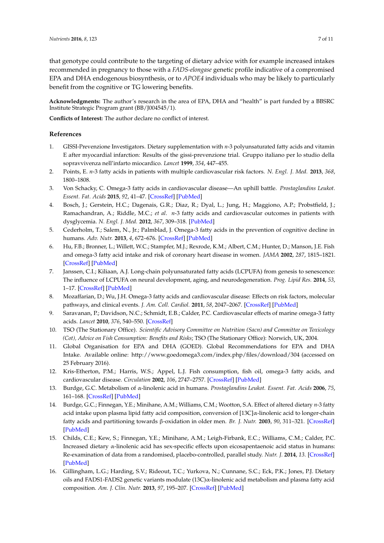that genotype could contribute to the targeting of dietary advice with for example increased intakes recommended in pregnancy to those with a *FADS-elongase* genetic profile indicative of a compromised EPA and DHA endogenous biosynthesis, or to *APOE4* individuals who may be likely to particularly benefit from the cognitive or TG lowering benefits.

**Acknowledgments:** The author's research in the area of EPA, DHA and "health" is part funded by a BBSRC Institute Strategic Program grant (BB/J004545/1).

**Conflicts of Interest:** The author declare no conflict of interest.

# **References**

- <span id="page-6-0"></span>1. GISSI-Prevenzione Investigators. Dietary supplementation with *n*-3 polyunsaturated fatty acids and vitamin E after myocardial infarction: Results of the gissi-prevenzione trial. Gruppo italiano per lo studio della sopravvivenza nell'infarto miocardico. *Lancet* **1999**, *354*, 447–455.
- 2. Points, E. *n*-3 fatty acids in patients with multiple cardiovascular risk factors. *N. Engl. J. Med.* **2013**, *368*, 1800–1808.
- 3. Von Schacky, C. Omega-3 fatty acids in cardiovascular disease—An uphill battle. *Prostaglandins Leukot. Essent. Fat. Acids* **2015**, *92*, 41–47. [\[CrossRef\]](http://dx.doi.org/10.1016/j.plefa.2014.05.004) [\[PubMed\]](http://www.ncbi.nlm.nih.gov/pubmed/24935800)
- <span id="page-6-1"></span>4. Bosch, J.; Gerstein, H.C.; Dagenais, G.R.; Diaz, R.; Dyal, L.; Jung, H.; Maggiono, A.P.; Probstfield, J.; Ramachandran, A.; Riddle, M.C.; *et al*. *n*-3 fatty acids and cardiovascular outcomes in patients with dysglycemia. *N. Engl. J. Med.* **2012**, *367*, 309–318. [\[PubMed\]](http://www.ncbi.nlm.nih.gov/pubmed/22686415)
- <span id="page-6-2"></span>5. Cederholm, T.; Salem, N., Jr.; Palmblad, J. Omega-3 fatty acids in the prevention of cognitive decline in humans. *Adv. Nutr.* **2013**, *4*, 672–676. [\[CrossRef\]](http://dx.doi.org/10.3945/an.113.004556) [\[PubMed\]](http://www.ncbi.nlm.nih.gov/pubmed/24228198)
- 6. Hu, F.B.; Bronner, L.; Willett, W.C.; Stampfer, M.J.; Rexrode, K.M.; Albert, C.M.; Hunter, D.; Manson, J.E. Fish and omega-3 fatty acid intake and risk of coronary heart disease in women. *JAMA* **2002**, *287*, 1815–1821. [\[CrossRef\]](http://dx.doi.org/10.1001/jama.287.14.1815) [\[PubMed\]](http://www.ncbi.nlm.nih.gov/pubmed/11939867)
- 7. Janssen, C.I.; Kiliaan, A.J. Long-chain polyunsaturated fatty acids (LCPUFA) from genesis to senescence: The influence of LCPUFA on neural development, aging, and neurodegeneration. *Prog. Lipid Res.* **2014**, *53*, 1–17. [\[CrossRef\]](http://dx.doi.org/10.1016/j.plipres.2013.10.002) [\[PubMed\]](http://www.ncbi.nlm.nih.gov/pubmed/24334113)
- 8. Mozaffarian, D.; Wu, J.H. Omega-3 fatty acids and cardiovascular disease: Effects on risk factors, molecular pathways, and clinical events. *J. Am. Coll. Cardiol.* **2011**, *58*, 2047–2067. [\[CrossRef\]](http://dx.doi.org/10.1016/j.jacc.2011.06.063) [\[PubMed\]](http://www.ncbi.nlm.nih.gov/pubmed/22051327)
- <span id="page-6-3"></span>9. Saravanan, P.; Davidson, N.C.; Schmidt, E.B.; Calder, P.C. Cardiovascular effects of marine omega-3 fatty acids. *Lancet* **2010**, *376*, 540–550. [\[CrossRef\]](http://dx.doi.org/10.1016/S0140-6736(10)60445-X)
- <span id="page-6-4"></span>10. TSO (The Stationary Office). *Scientific Advisory Committee on Nutrition (Sacn) and Committee on Toxicology (Cot), Advice on Fish Consumption: Benefits and Risks*; TSO (The Stationary Office): Norwich, UK, 2004.
- 11. Global Organisation for EPA and DHA (GOED). Global Recommendations for EPA and DHA Intake. Available online: http://www.goedomega3.com/index.php/files/download/304 (accessed on 25 February 2016).
- <span id="page-6-5"></span>12. Kris-Etherton, P.M.; Harris, W.S.; Appel, L.J. Fish consumption, fish oil, omega-3 fatty acids, and cardiovascular disease. *Circulation* **2002**, *106*, 2747–2757. [\[CrossRef\]](http://dx.doi.org/10.1161/01.CIR.0000038493.65177.94) [\[PubMed\]](http://www.ncbi.nlm.nih.gov/pubmed/12438303)
- <span id="page-6-6"></span>13. Burdge, G.C. Metabolism of α-linolenic acid in humans. *Prostaglandins Leukot. Essent. Fat. Acids* **2006**, *75*, 161–168. [\[CrossRef\]](http://dx.doi.org/10.1016/j.plefa.2006.05.013) [\[PubMed\]](http://www.ncbi.nlm.nih.gov/pubmed/16828546)
- <span id="page-6-7"></span>14. Burdge, G.C.; Finnegan, Y.E.; Minihane, A.M.; Williams, C.M.; Wootton, S.A. Effect of altered dietary *n*-3 fatty acid intake upon plasma lipid fatty acid composition, conversion of [13C]α-linolenic acid to longer-chain fatty acids and partitioning towards β-oxidation in older men. *Br. J. Nutr.* **2003**, *90*, 311–321. [\[CrossRef\]](http://dx.doi.org/10.1079/BJN2003901) [\[PubMed\]](http://www.ncbi.nlm.nih.gov/pubmed/12908891)
- <span id="page-6-8"></span>15. Childs, C.E.; Kew, S.; Finnegan, Y.E.; Minihane, A.M.; Leigh-Firbank, E.C.; Williams, C.M.; Calder, P.C. Increased dietary α-linolenic acid has sex-specific effects upon eicosapentaenoic acid status in humans: Re-examination of data from a randomised, placebo-controlled, parallel study. *Nutr. J.* **2014**, *13*. [\[CrossRef\]](http://dx.doi.org/10.1186/1475-2891-13-113) [\[PubMed\]](http://www.ncbi.nlm.nih.gov/pubmed/25496415)
- <span id="page-6-9"></span>16. Gillingham, L.G.; Harding, S.V.; Rideout, T.C.; Yurkova, N.; Cunnane, S.C.; Eck, P.K.; Jones, P.J. Dietary oils and FADS1-FADS2 genetic variants modulate (13C)α-linolenic acid metabolism and plasma fatty acid composition. *Am. J. Clin. Nutr.* **2013**, *97*, 195–207. [\[CrossRef\]](http://dx.doi.org/10.3945/ajcn.112.043117) [\[PubMed\]](http://www.ncbi.nlm.nih.gov/pubmed/23221573)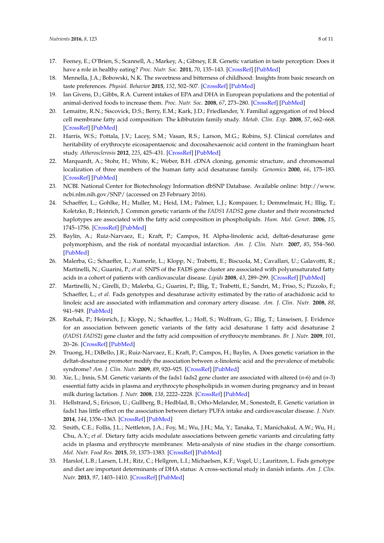- <span id="page-7-0"></span>17. Feeney, E.; O'Brien, S.; Scannell, A.; Markey, A.; Gibney, E.R. Genetic variation in taste perception: Does it have a role in healthy eating? *Proc. Nutr. Soc.* **2011**, *70*, 135–143. [\[CrossRef\]](http://dx.doi.org/10.1017/S0029665110003976) [\[PubMed\]](http://www.ncbi.nlm.nih.gov/pubmed/21092367)
- <span id="page-7-1"></span>18. Mennella, J.A.; Bobowski, N.K. The sweetness and bitterness of childhood: Insights from basic research on taste preferences. *Physiol. Behavior* **2015**, *152*, 502–507. [\[CrossRef\]](http://dx.doi.org/10.1016/j.physbeh.2015.05.015) [\[PubMed\]](http://www.ncbi.nlm.nih.gov/pubmed/26002822)
- <span id="page-7-2"></span>19. Ian Givens, D.; Gibbs, R.A. Current intakes of EPA and DHA in European populations and the potential of animal-derived foods to increase them. *Proc. Nutr. Soc.* **2008**, *67*, 273–280. [\[CrossRef\]](http://dx.doi.org/10.1017/S0029665108007167) [\[PubMed\]](http://www.ncbi.nlm.nih.gov/pubmed/18498671)
- <span id="page-7-3"></span>20. Lemaitre, R.N.; Siscovick, D.S.; Berry, E.M.; Kark, J.D.; Friedlander, Y. Familial aggregation of red blood cell membrane fatty acid composition: The kibbutzim family study. *Metab. Clin. Exp.* **2008**, *57*, 662–668. [\[CrossRef\]](http://dx.doi.org/10.1016/j.metabol.2007.12.011) [\[PubMed\]](http://www.ncbi.nlm.nih.gov/pubmed/18442630)
- <span id="page-7-4"></span>21. Harris, W.S.; Pottala, J.V.; Lacey, S.M.; Vasan, R.S.; Larson, M.G.; Robins, S.J. Clinical correlates and heritability of erythrocyte eicosapentaenoic and docosahexaenoic acid content in the framingham heart study. *Atherosclerosis* **2012**, *225*, 425–431. [\[CrossRef\]](http://dx.doi.org/10.1016/j.atherosclerosis.2012.05.030) [\[PubMed\]](http://www.ncbi.nlm.nih.gov/pubmed/22727409)
- <span id="page-7-5"></span>22. Marquardt, A.; Stohr, H.; White, K.; Weber, B.H. cDNA cloning, genomic structure, and chromosomal localization of three members of the human fatty acid desaturase family. *Genomics* **2000**, *66*, 175–183. [\[CrossRef\]](http://dx.doi.org/10.1006/geno.2000.6196) [\[PubMed\]](http://www.ncbi.nlm.nih.gov/pubmed/10860662)
- <span id="page-7-6"></span>23. NCBI. National Center for Biotechnology Information dbSNP Database. Available online: http://www. ncbi.nlm.nih.gov/SNP/ (accessed on 25 February 2016).
- <span id="page-7-7"></span>24. Schaeffer, L.; Gohlke, H.; Muller, M.; Heid, I.M.; Palmer, L.J.; Kompauer, I.; Demmelmair, H.; Illig, T.; Koletzko, B.; Heinrich, J. Common genetic variants of the *FADS*1 *FADS*2 gene cluster and their reconstructed haplotypes are associated with the fatty acid composition in phospholipids. *Hum. Mol. Genet.* **2006**, *15*, 1745–1756. [\[CrossRef\]](http://dx.doi.org/10.1093/hmg/ddl117) [\[PubMed\]](http://www.ncbi.nlm.nih.gov/pubmed/16670158)
- <span id="page-7-8"></span>25. Baylin, A.; Ruiz-Narvaez, E.; Kraft, P.; Campos, H. Alpha-linolenic acid, delta6-desaturase gene polymorphism, and the risk of nonfatal myocardial infarction. *Am. J. Clin. Nutr.* **2007**, *85*, 554–560. [\[PubMed\]](http://www.ncbi.nlm.nih.gov/pubmed/17284757)
- 26. Malerba, G.; Schaeffer, L.; Xumerle, L.; Klopp, N.; Trabetti, E.; Biscuola, M.; Cavallari, U.; Galavotti, R.; Martinelli, N.; Guarini, P.; *et al*. SNPS of the FADS gene cluster are associated with polyunsaturated fatty acids in a cohort of patients with cardiovascular disease. *Lipids* **2008**, *43*, 289–299. [\[CrossRef\]](http://dx.doi.org/10.1007/s11745-008-3158-5) [\[PubMed\]](http://www.ncbi.nlm.nih.gov/pubmed/18320251)
- <span id="page-7-10"></span>27. Martinelli, N.; Girelli, D.; Malerba, G.; Guarini, P.; Illig, T.; Trabetti, E.; Sandri, M.; Friso, S.; Pizzolo, F.; Schaeffer, L.; *et al*. Fads genotypes and desaturase activity estimated by the ratio of arachidonic acid to linoleic acid are associated with inflammation and coronary artery disease. *Am. J. Clin. Nutr.* **2008**, *88*, 941–949. [\[PubMed\]](http://www.ncbi.nlm.nih.gov/pubmed/18842780)
- 28. Rzehak, P.; Heinrich, J.; Klopp, N.; Schaeffer, L.; Hoff, S.; Wolfram, G.; Illig, T.; Linseisen, J. Evidence for an association between genetic variants of the fatty acid desaturase 1 fatty acid desaturase 2 (*FADS*1 *FADS*2) gene cluster and the fatty acid composition of erythrocyte membranes. *Br. J. Nutr.* **2009**, *101*, 20–26. [\[CrossRef\]](http://dx.doi.org/10.1017/S0007114508992564) [\[PubMed\]](http://www.ncbi.nlm.nih.gov/pubmed/18479586)
- 29. Truong, H.; DiBello, J.R.; Ruiz-Narvaez, E.; Kraft, P.; Campos, H.; Baylin, A. Does genetic variation in the delta6-desaturase promoter modify the association between  $\alpha$ -linolenic acid and the prevalence of metabolic syndrome? *Am. J. Clin. Nutr.* **2009**, *89*, 920–925. [\[CrossRef\]](http://dx.doi.org/10.3945/ajcn.2008.27107) [\[PubMed\]](http://www.ncbi.nlm.nih.gov/pubmed/19144731)
- <span id="page-7-11"></span>30. Xie, L.; Innis, S.M. Genetic variants of the fads1 fads2 gene cluster are associated with altered (*n*-6) and (*n*-3) essential fatty acids in plasma and erythrocyte phospholipids in women during pregnancy and in breast milk during lactation. *J. Nutr.* **2008**, *138*, 2222–2228. [\[CrossRef\]](http://dx.doi.org/10.3945/jn.108.096156) [\[PubMed\]](http://www.ncbi.nlm.nih.gov/pubmed/18936223)
- 31. Hellstrand, S.; Ericson, U.; Gullberg, B.; Hedblad, B.; Orho-Melander, M.; Sonestedt, E. Genetic variation in fads1 has little effect on the association between dietary PUFA intake and cardiovascular disease. *J. Nutr.* **2014**, *144*, 1356–1363. [\[CrossRef\]](http://dx.doi.org/10.3945/jn.114.192708) [\[PubMed\]](http://www.ncbi.nlm.nih.gov/pubmed/25008580)
- <span id="page-7-9"></span>32. Smith, C.E.; Follis, J.L.; Nettleton, J.A.; Foy, M.; Wu, J.H.; Ma, Y.; Tanaka, T.; Manichakul, A.W.; Wu, H.; Chu, A.Y.; *et al*. Dietary fatty acids modulate associations between genetic variants and circulating fatty acids in plasma and erythrocyte membranes: Meta-analysis of nine studies in the charge consortium. *Mol. Nutr. Food Res.* **2015**, *59*, 1373–1383. [\[CrossRef\]](http://dx.doi.org/10.1002/mnfr.201400734) [\[PubMed\]](http://www.ncbi.nlm.nih.gov/pubmed/25626431)
- <span id="page-7-12"></span>33. Harslof, L.B.; Larsen, L.H.; Ritz, C.; Hellgren, L.I.; Michaelsen, K.F.; Vogel, U.; Lauritzen, L. Fads genotype and diet are important determinants of DHA status: A cross-sectional study in danish infants. *Am. J. Clin. Nutr.* **2013**, *97*, 1403–1410. [\[CrossRef\]](http://dx.doi.org/10.3945/ajcn.113.058685) [\[PubMed\]](http://www.ncbi.nlm.nih.gov/pubmed/23636240)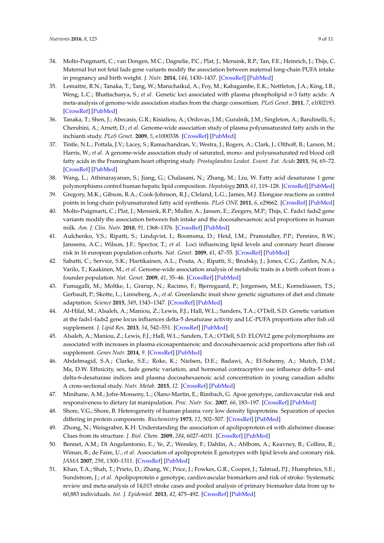- <span id="page-8-0"></span>34. Molto-Puigmarti, C.; van Dongen, M.C.; Dagnelie, P.C.; Plat, J.; Mensink, R.P.; Tan, F.E.; Heinrich, J.; Thijs, C. Maternal but not fetal fads gene variants modify the association between maternal long-chain PUFA intake in pregnancy and birth weight. *J. Nutr.* **2014**, *144*, 1430–1437. [\[CrossRef\]](http://dx.doi.org/10.3945/jn.114.194035) [\[PubMed\]](http://www.ncbi.nlm.nih.gov/pubmed/24991040)
- <span id="page-8-1"></span>35. Lemaitre, R.N.; Tanaka, T.; Tang, W.; Manichaikul, A.; Foy, M.; Kabagambe, E.K.; Nettleton, J.A.; King, I.B.; Weng, L.C.; Bhattacharya, S.; *et al*. Genetic loci associated with plasma phospholipid *n*-3 fatty acids: A meta-analysis of genome-wide association studies from the charge consortium. *PLoS Genet.* **2011**, *7*, e1002193. [\[CrossRef\]](http://dx.doi.org/10.1371/journal.pgen.1002193) [\[PubMed\]](http://www.ncbi.nlm.nih.gov/pubmed/21829377)
- <span id="page-8-5"></span>36. Tanaka, T.; Shen, J.; Abecasis, G.R.; Kisialiou, A.; Ordovas, J.M.; Guralnik, J.M.; Singleton, A.; Bandinelli, S.; Cherubini, A.; Arnett, D.; *et al*. Genome-wide association study of plasma polyunsaturated fatty acids in the inchianti study. *PLoS Genet.* **2009**, *5*, e1000338. [\[CrossRef\]](http://dx.doi.org/10.1371/journal.pgen.1000338) [\[PubMed\]](http://www.ncbi.nlm.nih.gov/pubmed/19148276)
- 37. Tintle, N.L.; Pottala, J.V.; Lacey, S.; Ramachandran, V.; Westra, J.; Rogers, A.; Clark, J.; Olthoff, B.; Larson, M.; Harris, W.; *et al*. A genome-wide association study of saturated, mono- and polyunsaturated red blood cell fatty acids in the Framingham heart offspring study. *Prostaglandins Leukot. Essent. Fat. Acids* **2015**, *94*, 65–72. [\[CrossRef\]](http://dx.doi.org/10.1016/j.plefa.2014.11.007) [\[PubMed\]](http://www.ncbi.nlm.nih.gov/pubmed/25500335)
- <span id="page-8-2"></span>38. Wang, L.; Athinarayanan, S.; Jiang, G.; Chalasani, N.; Zhang, M.; Liu, W. Fatty acid desaturase 1 gene polymorphisms control human hepatic lipid composition. *Hepatology* **2015**, *61*, 119–128. [\[CrossRef\]](http://dx.doi.org/10.1002/hep.27373) [\[PubMed\]](http://www.ncbi.nlm.nih.gov/pubmed/25123259)
- <span id="page-8-3"></span>39. Gregory, M.K.; Gibson, R.A.; Cook-Johnson, R.J.; Cleland, L.G.; James, M.J. Elongase reactions as control points in long-chain polyunsaturated fatty acid synthesis. *PLoS ONE* **2011**, *6*, e29662. [\[CrossRef\]](http://dx.doi.org/10.1371/journal.pone.0029662) [\[PubMed\]](http://www.ncbi.nlm.nih.gov/pubmed/22216341)
- <span id="page-8-4"></span>40. Molto-Puigmarti, C.; Plat, J.; Mensink, R.P.; Muller, A.; Jansen, E.; Zeegers, M.P.; Thijs, C. Fads1 fads2 gene variants modify the association between fish intake and the docosahexaenoic acid proportions in human milk. *Am. J. Clin. Nutr.* **2010**, *91*, 1368–1376. [\[CrossRef\]](http://dx.doi.org/10.3945/ajcn.2009.28789) [\[PubMed\]](http://www.ncbi.nlm.nih.gov/pubmed/20335541)
- <span id="page-8-6"></span>41. Aulchenko, Y.S.; Ripatti, S.; Lindqvist, I.; Boomsma, D.; Heid, I.M.; Pramstaller, P.P.; Penninx, B.W.; Janssens, A.C.; Wilson, J.F.; Spector, T.; *et al*. Loci influencing lipid levels and coronary heart disease risk in 16 european population cohorts. *Nat. Genet.* **2009**, *41*, 47–55. [\[CrossRef\]](http://dx.doi.org/10.1038/ng.269) [\[PubMed\]](http://www.ncbi.nlm.nih.gov/pubmed/19060911)
- <span id="page-8-7"></span>42. Sabatti, C.; Service, S.K.; Hartikainen, A.L.; Pouta, A.; Ripatti, S.; Brodsky, J.; Jones, C.G.; Zaitlen, N.A.; Varilo, T.; Kaakinen, M.; *et al*. Genome-wide association analysis of metabolic traits in a birth cohort from a founder population. *Nat. Genet.* **2009**, *41*, 35–46. [\[CrossRef\]](http://dx.doi.org/10.1038/ng.271) [\[PubMed\]](http://www.ncbi.nlm.nih.gov/pubmed/19060910)
- <span id="page-8-8"></span>43. Fumagalli, M.; Moltke, I.; Grarup, N.; Racimo, F.; Bjerregaard, P.; Jorgensen, M.E.; Korneliussen, T.S.; Gerbault, P.; Skotte, L.; Linneberg, A.; *et al*. Greenlandic inuit show genetic signatures of diet and climate adaptation. *Science* **2015**, *349*, 1343–1347. [\[CrossRef\]](http://dx.doi.org/10.1126/science.aab2319) [\[PubMed\]](http://www.ncbi.nlm.nih.gov/pubmed/26383953)
- <span id="page-8-9"></span>44. Al-Hilal, M.; Alsaleh, A.; Maniou, Z.; Lewis, F.J.; Hall, W.L.; Sanders, T.A.; O'Dell, S.D. Genetic variation at the fads1-fads2 gene locus influences delta-5 desaturase activity and LC-PUFA proportions after fish oil supplement. *J. Lipid Res.* **2013**, *54*, 542–551. [\[CrossRef\]](http://dx.doi.org/10.1194/jlr.P032276) [\[PubMed\]](http://www.ncbi.nlm.nih.gov/pubmed/23160180)
- <span id="page-8-10"></span>45. Alsaleh, A.; Maniou, Z.; Lewis, F.J.; Hall, W.L.; Sanders, T.A.; O'Dell, S.D. ELOVL2 gene polymorphisms are associated with increases in plasma eicosapentaenoic and docosahexaenoic acid proportions after fish oil supplement. *Genes Nutr.* **2014**, *9*. [\[CrossRef\]](http://dx.doi.org/10.1007/s12263-013-0362-6) [\[PubMed\]](http://www.ncbi.nlm.nih.gov/pubmed/24292947)
- <span id="page-8-11"></span>46. Abdelmagid, S.A.; Clarke, S.E.; Roke, K.; Nielsen, D.E.; Badawi, A.; El-Sohemy, A.; Mutch, D.M.; Ma, D.W. Ethnicity, sex, fads genetic variation, and hormonal contraceptive use influence delta-5- and delta-6-desaturase indices and plasma docosahexaenoic acid concentration in young canadian adults: A cross-sectional study. *Nutr. Metab.* **2015**, *12*. [\[CrossRef\]](http://dx.doi.org/10.1186/s12986-015-0010-9) [\[PubMed\]](http://www.ncbi.nlm.nih.gov/pubmed/25914723)
- <span id="page-8-12"></span>47. Minihane, A.M.; Jofre-Monseny, L.; Olano-Martin, E.; Rimbach, G. Apoe genotype, cardiovascular risk and responsiveness to dietary fat manipulation. *Proc. Nutr. Soc.* **2007**, *66*, 183–197. [\[CrossRef\]](http://dx.doi.org/10.1017/S0029665107005435) [\[PubMed\]](http://www.ncbi.nlm.nih.gov/pubmed/17466101)
- <span id="page-8-13"></span>48. Shore, V.G.; Shore, B. Heterogeneity of human plasma very low density lipoproteins. Separation of species differing in protein components. *Biochemistry* **1973**, *12*, 502–507. [\[CrossRef\]](http://dx.doi.org/10.1021/bi00727a022) [\[PubMed\]](http://www.ncbi.nlm.nih.gov/pubmed/4345806)
- <span id="page-8-14"></span>49. Zhong, N.; Weisgraber, K.H. Understanding the association of apolipoprotein e4 with alzheimer disease: Clues from its structure. *J. Biol. Chem.* **2009**, *284*, 6027–6031. [\[CrossRef\]](http://dx.doi.org/10.1074/jbc.R800009200) [\[PubMed\]](http://www.ncbi.nlm.nih.gov/pubmed/18948255)
- <span id="page-8-15"></span>50. Bennet, A.M.; Di Angelantonio, E.; Ye, Z.; Wensley, F.; Dahlin, A.; Ahlbom, A.; Keavney, B.; Collins, R.; Wiman, B.; de Faire, U.; *et al*. Association of apolipoprotein E genotypes with lipid levels and coronary risk. *JAMA* **2007**, *298*, 1300–1311. [\[CrossRef\]](http://dx.doi.org/10.1001/jama.298.11.1300) [\[PubMed\]](http://www.ncbi.nlm.nih.gov/pubmed/17878422)
- <span id="page-8-16"></span>51. Khan, T.A.; Shah, T.; Prieto, D.; Zhang, W.; Price, J.; Fowkes, G.R.; Cooper, J.; Talmud, P.J.; Humphries, S.E.; Sundstrom, J.; *et al*. Apolipoprotein e genotype, cardiovascular biomarkers and risk of stroke: Systematic review and meta-analysis of 14,015 stroke cases and pooled analysis of primary biomarker data from up to 60,883 individuals. *Int. J. Epidemiol.* **2013**, *42*, 475–492. [\[CrossRef\]](http://dx.doi.org/10.1093/ije/dyt034) [\[PubMed\]](http://www.ncbi.nlm.nih.gov/pubmed/23569189)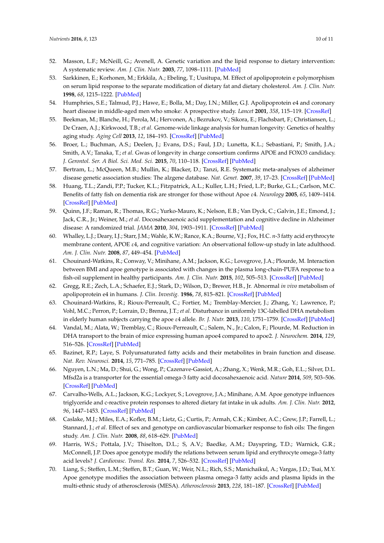- <span id="page-9-0"></span>52. Masson, L.F.; McNeill, G.; Avenell, A. Genetic variation and the lipid response to dietary intervention: A systematic review. *Am. J. Clin. Nutr.* **2003**, *77*, 1098–1111. [\[PubMed\]](http://www.ncbi.nlm.nih.gov/pubmed/12716659)
- <span id="page-9-1"></span>53. Sarkkinen, E.; Korhonen, M.; Erkkila, A.; Ebeling, T.; Uusitupa, M. Effect of apolipoprotein e polymorphism on serum lipid response to the separate modification of dietary fat and dietary cholesterol. *Am. J. Clin. Nutr.* **1998**, *68*, 1215–1222. [\[PubMed\]](http://www.ncbi.nlm.nih.gov/pubmed/9846849)
- <span id="page-9-2"></span>54. Humphries, S.E.; Talmud, P.J.; Hawe, E.; Bolla, M.; Day, I.N.; Miller, G.J. Apolipoprotein e4 and coronary heart disease in middle-aged men who smoke: A prospective study. *Lancet* **2001**, *358*, 115–119. [\[CrossRef\]](http://dx.doi.org/10.1016/S0140-6736(01)05330-2)
- <span id="page-9-3"></span>55. Beekman, M.; Blanche, H.; Perola, M.; Hervonen, A.; Bezrukov, V.; Sikora, E.; Flachsbart, F.; Christiansen, L.; De Craen, A.J.; Kirkwood, T.B.; *et al*. Genome-wide linkage analysis for human longevity: Genetics of healthy aging study. *Aging Cell* **2013**, *12*, 184–193. [\[CrossRef\]](http://dx.doi.org/10.1111/acel.12039) [\[PubMed\]](http://www.ncbi.nlm.nih.gov/pubmed/23286790)
- <span id="page-9-4"></span>56. Broer, L.; Buchman, A.S.; Deelen, J.; Evans, D.S.; Faul, J.D.; Lunetta, K.L.; Sebastiani, P.; Smith, J.A.; Smith, A.V.; Tanaka, T.; *et al*. Gwas of longevity in charge consortium confirms APOE and FOXO3 candidacy. *J. Gerontol. Ser. A Biol. Sci. Med. Sci.* **2015**, *70*, 110–118. [\[CrossRef\]](http://dx.doi.org/10.1093/gerona/glu166) [\[PubMed\]](http://www.ncbi.nlm.nih.gov/pubmed/25199915)
- <span id="page-9-5"></span>57. Bertram, L.; McQueen, M.B.; Mullin, K.; Blacker, D.; Tanzi, R.E. Systematic meta-analyses of alzheimer disease genetic association studies: The alzgene database. *Nat. Genet.* **2007**, *39*, 17–23. [\[CrossRef\]](http://dx.doi.org/10.1038/ng1934) [\[PubMed\]](http://www.ncbi.nlm.nih.gov/pubmed/17192785)
- <span id="page-9-6"></span>58. Huang, T.L.; Zandi, P.P.; Tucker, K.L.; Fitzpatrick, A.L.; Kuller, L.H.; Fried, L.P.; Burke, G.L.; Carlson, M.C. Benefits of fatty fish on dementia risk are stronger for those without Apoe ε4. *Neurology* **2005**, *65*, 1409–1414. [\[CrossRef\]](http://dx.doi.org/10.1212/01.wnl.0000183148.34197.2e) [\[PubMed\]](http://www.ncbi.nlm.nih.gov/pubmed/16275829)
- <span id="page-9-8"></span>59. Quinn, J.F.; Raman, R.; Thomas, R.G.; Yurko-Mauro, K.; Nelson, E.B.; Van Dyck, C.; Galvin, J.E.; Emond, J.; Jack, C.R., Jr.; Weiner, M.; *et al*. Docosahexaenoic acid supplementation and cognitive decline in Alzheimer disease: A randomized trial. *JAMA* **2010**, *304*, 1903–1911. [\[CrossRef\]](http://dx.doi.org/10.1001/jama.2010.1510) [\[PubMed\]](http://www.ncbi.nlm.nih.gov/pubmed/21045096)
- <span id="page-9-7"></span>60. Whalley, L.J.; Deary, I.J.; Starr, J.M.; Wahle, K.W.; Rance, K.A.; Bourne, V.J.; Fox, H.C. *n*-3 fatty acid erythrocyte membrane content, APOE ε4, and cognitive variation: An observational follow-up study in late adulthood. *Am. J. Clin. Nutr.* **2008**, *87*, 449–454. [\[PubMed\]](http://www.ncbi.nlm.nih.gov/pubmed/18258638)
- <span id="page-9-9"></span>61. Chouinard-Watkins, R.; Conway, V.; Minihane, A.M.; Jackson, K.G.; Lovegrove, J.A.; Plourde, M. Interaction between BMI and apoe genotype is associated with changes in the plasma long-chain-PUFA response to a fish-oil supplement in healthy participants. *Am. J. Clin. Nutr.* **2015**, *102*, 505–513. [\[CrossRef\]](http://dx.doi.org/10.3945/ajcn.114.103507) [\[PubMed\]](http://www.ncbi.nlm.nih.gov/pubmed/26085515)
- <span id="page-9-10"></span>62. Gregg, R.E.; Zech, L.A.; Schaefer, E.J.; Stark, D.; Wilson, D.; Brewer, H.B., Jr. Abnormal *in vivo* metabolism of apolipoprotein e4 in humans. *J. Clin. Investig.* **1986**, *78*, 815–821. [\[CrossRef\]](http://dx.doi.org/10.1172/JCI112645) [\[PubMed\]](http://www.ncbi.nlm.nih.gov/pubmed/3745440)
- <span id="page-9-11"></span>63. Chouinard-Watkins, R.; Rioux-Perreault, C.; Fortier, M.; Tremblay-Mercier, J.; Zhang, Y.; Lawrence, P.; Vohl, M.C.; Perron, P.; Lorrain, D.; Brenna, J.T.; *et al*. Disturbance in uniformly 13C-labelled DHA metabolism in elderly human subjects carrying the apoe ε4 allele. *Br. J. Nutr.* **2013**, *110*, 1751–1759. [\[CrossRef\]](http://dx.doi.org/10.1017/S0007114513001268) [\[PubMed\]](http://www.ncbi.nlm.nih.gov/pubmed/23631810)
- <span id="page-9-12"></span>64. Vandal, M.; Alata, W.; Tremblay, C.; Rioux-Perreault, C.; Salem, N., Jr.; Calon, F.; Plourde, M. Reduction in DHA transport to the brain of mice expressing human apoe4 compared to apoe2. *J. Neurochem.* **2014**, *129*, 516–526. [\[CrossRef\]](http://dx.doi.org/10.1111/jnc.12640) [\[PubMed\]](http://www.ncbi.nlm.nih.gov/pubmed/24345162)
- <span id="page-9-13"></span>65. Bazinet, R.P.; Laye, S. Polyunsaturated fatty acids and their metabolites in brain function and disease. *Nat. Rev. Neurosci.* **2014**, *15*, 771–785. [\[CrossRef\]](http://dx.doi.org/10.1038/nrn3820) [\[PubMed\]](http://www.ncbi.nlm.nih.gov/pubmed/25387473)
- <span id="page-9-14"></span>66. Nguyen, L.N.; Ma, D.; Shui, G.; Wong, P.; Cazenave-Gassiot, A.; Zhang, X.; Wenk, M.R.; Goh, E.L.; Silver, D.L. Mfsd2a is a transporter for the essential omega-3 fatty acid docosahexaenoic acid. *Nature* **2014**, *509*, 503–506. [\[CrossRef\]](http://dx.doi.org/10.1038/nature13241) [\[PubMed\]](http://www.ncbi.nlm.nih.gov/pubmed/24828044)
- <span id="page-9-15"></span>67. Carvalho-Wells, A.L.; Jackson, K.G.; Lockyer, S.; Lovegrove, J.A.; Minihane, A.M. Apoe genotype influences triglyceride and c-reactive protein responses to altered dietary fat intake in uk adults. *Am. J. Clin. Nutr.* **2012**, *96*, 1447–1453. [\[CrossRef\]](http://dx.doi.org/10.3945/ajcn.112.043240) [\[PubMed\]](http://www.ncbi.nlm.nih.gov/pubmed/23134888)
- <span id="page-9-16"></span>68. Caslake, M.J.; Miles, E.A.; Kofler, B.M.; Lietz, G.; Curtis, P.; Armah, C.K.; Kimber, A.C.; Grew, J.P.; Farrell, L.; Stannard, J.; *et al*. Effect of sex and genotype on cardiovascular biomarker response to fish oils: The fingen study. *Am. J. Clin. Nutr.* **2008**, *88*, 618–629. [\[PubMed\]](http://www.ncbi.nlm.nih.gov/pubmed/18779276)
- <span id="page-9-17"></span>69. Harris, W.S.; Pottala, J.V.; Thiselton, D.L.; S, A.V.; Baedke, A.M.; Dayspring, T.D.; Warnick, G.R.; McConnell, J.P. Does apoe genotype modify the relations between serum lipid and erythrocyte omega-3 fatty acid levels? *J. Cardiovasc. Transl. Res.* **2014**, *7*, 526–532. [\[CrossRef\]](http://dx.doi.org/10.1007/s12265-014-9554-8) [\[PubMed\]](http://www.ncbi.nlm.nih.gov/pubmed/24595593)
- 70. Liang, S.; Steffen, L.M.; Steffen, B.T.; Guan, W.; Weir, N.L.; Rich, S.S.; Manichaikul, A.; Vargas, J.D.; Tsai, M.Y. Apoe genotype modifies the association between plasma omega-3 fatty acids and plasma lipids in the multi-ethnic study of atherosclerosis (MESA). *Atherosclerosis* **2013**, *228*, 181–187. [\[CrossRef\]](http://dx.doi.org/10.1016/j.atherosclerosis.2013.02.004) [\[PubMed\]](http://www.ncbi.nlm.nih.gov/pubmed/23466070)